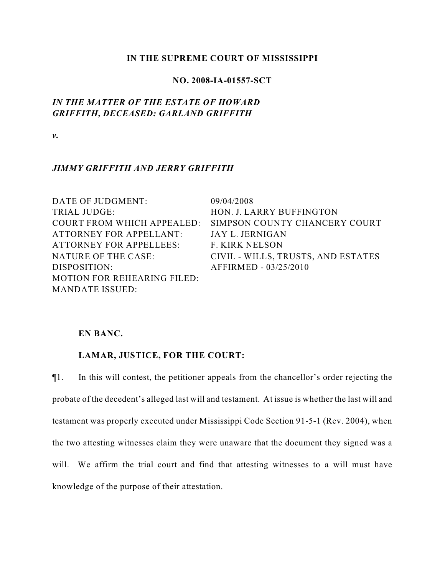### **IN THE SUPREME COURT OF MISSISSIPPI**

### **NO. 2008-IA-01557-SCT**

# *IN THE MATTER OF THE ESTATE OF HOWARD GRIFFITH, DECEASED: GARLAND GRIFFITH*

*v.*

## *JIMMY GRIFFITH AND JERRY GRIFFITH*

DATE OF JUDGMENT: 09/04/2008 TRIAL JUDGE: HON. J. LARRY BUFFINGTON COURT FROM WHICH APPEALED: ATTORNEY FOR APPELLANT: ATTORNEY FOR APPELLEES: F. KIRK NELSON DISPOSITION: AFFIRMED - 03/25/2010 MOTION FOR REHEARING FILED: MANDATE ISSUED:

SIMPSON COUNTY CHANCERY COURT JAY L. JERNIGAN NATURE OF THE CASE: CIVIL - WILLS, TRUSTS, AND ESTATES

### **EN BANC.**

## **LAMAR, JUSTICE, FOR THE COURT:**

¶1. In this will contest, the petitioner appeals from the chancellor's order rejecting the probate of the decedent's alleged last will and testament. At issue is whether the last will and testament was properly executed under Mississippi Code Section 91-5-1 (Rev. 2004), when the two attesting witnesses claim they were unaware that the document they signed was a will. We affirm the trial court and find that attesting witnesses to a will must have knowledge of the purpose of their attestation.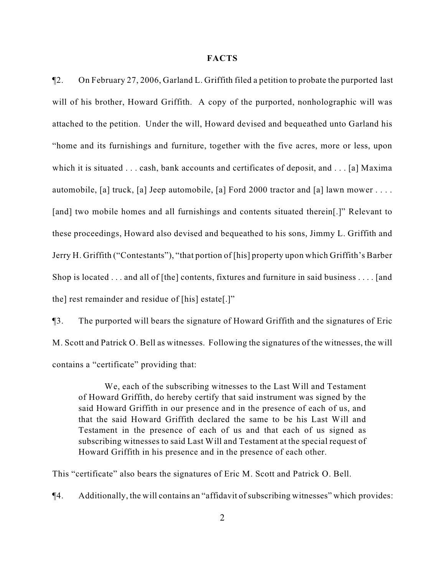#### **FACTS**

¶2. On February 27, 2006, Garland L. Griffith filed a petition to probate the purported last will of his brother, Howard Griffith. A copy of the purported, nonholographic will was attached to the petition. Under the will, Howard devised and bequeathed unto Garland his "home and its furnishings and furniture, together with the five acres, more or less, upon which it is situated . . . cash, bank accounts and certificates of deposit, and . . . [a] Maxima automobile, [a] truck, [a] Jeep automobile, [a] Ford 2000 tractor and [a] lawn mower  $\dots$ . [and] two mobile homes and all furnishings and contents situated therein[.]" Relevant to these proceedings, Howard also devised and bequeathed to his sons, Jimmy L. Griffith and Jerry H. Griffith ("Contestants"), "that portion of [his] property upon which Griffith's Barber Shop is located . . . and all of [the] contents, fixtures and furniture in said business . . . . [and the] rest remainder and residue of [his] estate[.]"

¶3. The purported will bears the signature of Howard Griffith and the signatures of Eric M. Scott and Patrick O. Bell as witnesses. Following the signatures of the witnesses, the will contains a "certificate" providing that:

We, each of the subscribing witnesses to the Last Will and Testament of Howard Griffith, do hereby certify that said instrument was signed by the said Howard Griffith in our presence and in the presence of each of us, and that the said Howard Griffith declared the same to be his Last Will and Testament in the presence of each of us and that each of us signed as subscribing witnesses to said Last Will and Testament at the special request of Howard Griffith in his presence and in the presence of each other.

This "certificate" also bears the signatures of Eric M. Scott and Patrick O. Bell.

¶4. Additionally, the will contains an "affidavit of subscribing witnesses" which provides: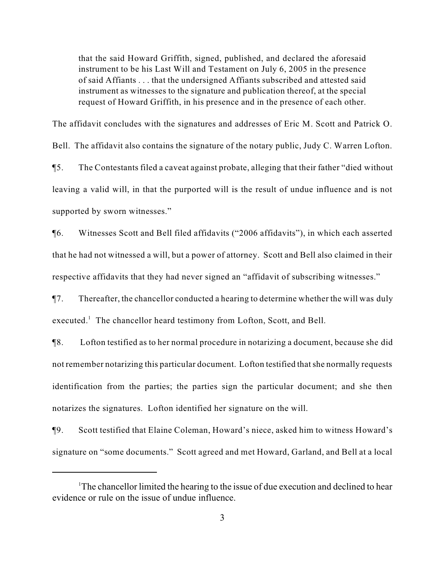that the said Howard Griffith, signed, published, and declared the aforesaid instrument to be his Last Will and Testament on July 6, 2005 in the presence of said Affiants . . . that the undersigned Affiants subscribed and attested said instrument as witnesses to the signature and publication thereof, at the special request of Howard Griffith, in his presence and in the presence of each other.

The affidavit concludes with the signatures and addresses of Eric M. Scott and Patrick O. Bell. The affidavit also contains the signature of the notary public, Judy C. Warren Lofton. ¶5. The Contestants filed a caveat against probate, alleging that their father "died without leaving a valid will, in that the purported will is the result of undue influence and is not supported by sworn witnesses."

¶6. Witnesses Scott and Bell filed affidavits ("2006 affidavits"), in which each asserted that he had not witnessed a will, but a power of attorney. Scott and Bell also claimed in their respective affidavits that they had never signed an "affidavit of subscribing witnesses."

¶7. Thereafter, the chancellor conducted a hearing to determine whether the will was duly executed. $\,$  The chancellor heard testimony from Lofton, Scott, and Bell.

¶8. Lofton testified as to her normal procedure in notarizing a document, because she did not remember notarizing this particular document. Lofton testified that she normally requests identification from the parties; the parties sign the particular document; and she then notarizes the signatures. Lofton identified her signature on the will.

¶9. Scott testified that Elaine Coleman, Howard's niece, asked him to witness Howard's signature on "some documents." Scott agreed and met Howard, Garland, and Bell at a local

<sup>&</sup>lt;sup>1</sup>The chancellor limited the hearing to the issue of due execution and declined to hear evidence or rule on the issue of undue influence.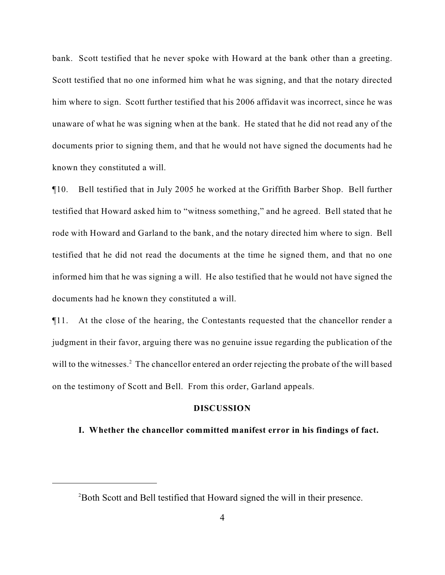bank. Scott testified that he never spoke with Howard at the bank other than a greeting. Scott testified that no one informed him what he was signing, and that the notary directed him where to sign. Scott further testified that his 2006 affidavit was incorrect, since he was unaware of what he was signing when at the bank. He stated that he did not read any of the documents prior to signing them, and that he would not have signed the documents had he known they constituted a will.

¶10. Bell testified that in July 2005 he worked at the Griffith Barber Shop. Bell further testified that Howard asked him to "witness something," and he agreed. Bell stated that he rode with Howard and Garland to the bank, and the notary directed him where to sign. Bell testified that he did not read the documents at the time he signed them, and that no one informed him that he was signing a will. He also testified that he would not have signed the documents had he known they constituted a will.

¶11. At the close of the hearing, the Contestants requested that the chancellor render a judgment in their favor, arguing there was no genuine issue regarding the publication of the will to the witnesses.<sup>2</sup> The chancellor entered an order rejecting the probate of the will based on the testimony of Scott and Bell. From this order, Garland appeals.

### **DISCUSSION**

#### **I. Whether the chancellor committed manifest error in his findings of fact.**

 $P^2$ Both Scott and Bell testified that Howard signed the will in their presence.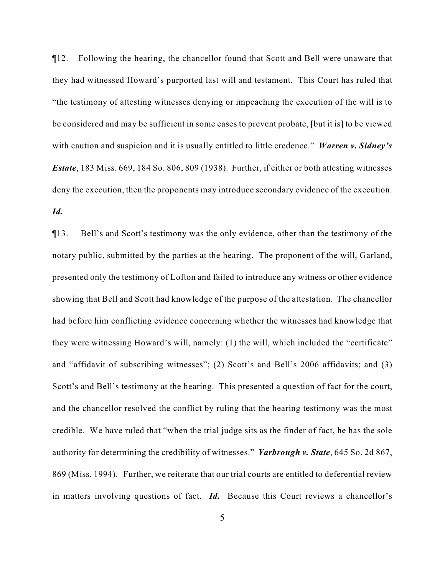¶12. Following the hearing, the chancellor found that Scott and Bell were unaware that they had witnessed Howard's purported last will and testament. This Court has ruled that "the testimony of attesting witnesses denying or impeaching the execution of the will is to be considered and may be sufficient in some cases to prevent probate, [but it is] to be viewed with caution and suspicion and it is usually entitled to little credence." *Warren v. Sidney's Estate*, 183 Miss. 669, 184 So. 806, 809 (1938). Further, if either or both attesting witnesses deny the execution, then the proponents may introduce secondary evidence of the execution. *Id.*

¶13. Bell's and Scott's testimony was the only evidence, other than the testimony of the notary public, submitted by the parties at the hearing. The proponent of the will, Garland, presented only the testimony of Lofton and failed to introduce any witness or other evidence showing that Bell and Scott had knowledge of the purpose of the attestation. The chancellor had before him conflicting evidence concerning whether the witnesses had knowledge that they were witnessing Howard's will, namely: (1) the will, which included the "certificate" and "affidavit of subscribing witnesses"; (2) Scott's and Bell's 2006 affidavits; and (3) Scott's and Bell's testimony at the hearing. This presented a question of fact for the court, and the chancellor resolved the conflict by ruling that the hearing testimony was the most credible. We have ruled that "when the trial judge sits as the finder of fact, he has the sole authority for determining the credibility of witnesses." *Yarbrough v. State*, 645 So. 2d 867, 869 (Miss. 1994). Further, we reiterate that our trial courts are entitled to deferential review in matters involving questions of fact. *Id.* Because this Court reviews a chancellor's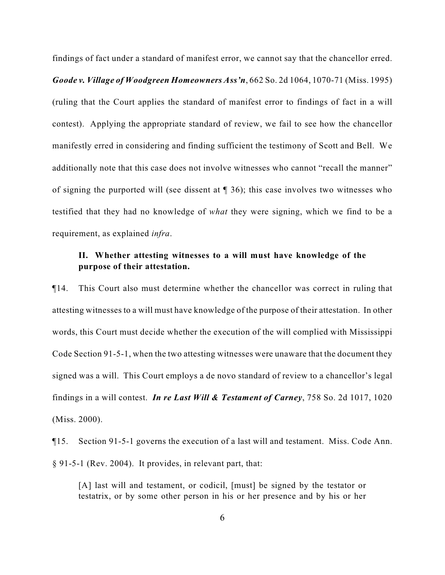findings of fact under a standard of manifest error, we cannot say that the chancellor erred. *Goode v. Village of Woodgreen Homeowners Ass'n*, 662 So. 2d 1064, 1070-71 (Miss. 1995) (ruling that the Court applies the standard of manifest error to findings of fact in a will contest). Applying the appropriate standard of review, we fail to see how the chancellor manifestly erred in considering and finding sufficient the testimony of Scott and Bell. We additionally note that this case does not involve witnesses who cannot "recall the manner" of signing the purported will (see dissent at ¶ 36); this case involves two witnesses who testified that they had no knowledge of *what* they were signing, which we find to be a requirement, as explained *infra*.

# **II. Whether attesting witnesses to a will must have knowledge of the purpose of their attestation.**

¶14. This Court also must determine whether the chancellor was correct in ruling that attesting witnesses to a will must have knowledge of the purpose of their attestation. In other words, this Court must decide whether the execution of the will complied with Mississippi Code Section 91-5-1, when the two attesting witnesses were unaware that the document they signed was a will. This Court employs a de novo standard of review to a chancellor's legal findings in a will contest. *In re Last Will & Testament of Carney*, 758 So. 2d 1017, 1020 (Miss. 2000).

¶15. Section 91-5-1 governs the execution of a last will and testament. Miss. Code Ann. § 91-5-1 (Rev. 2004). It provides, in relevant part, that:

[A] last will and testament, or codicil, [must] be signed by the testator or testatrix, or by some other person in his or her presence and by his or her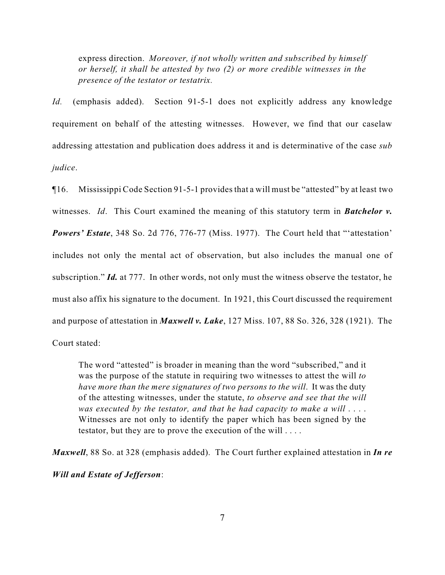express direction. *Moreover, if not wholly written and subscribed by himself or herself, it shall be attested by two (2) or more credible witnesses in the presence of the testator or testatrix.*

*Id.* (emphasis added). Section 91-5-1 does not explicitly address any knowledge requirement on behalf of the attesting witnesses. However, we find that our caselaw addressing attestation and publication does address it and is determinative of the case *sub judice*.

¶16. Mississippi Code Section 91-5-1 provides that a will must be "attested" by at least two witnesses. *Id*. This Court examined the meaning of this statutory term in *Batchelor v. Powers' Estate*, 348 So. 2d 776, 776-77 (Miss. 1977). The Court held that "'attestation' includes not only the mental act of observation, but also includes the manual one of subscription." *Id.* at 777. In other words, not only must the witness observe the testator, he must also affix his signature to the document. In 1921, this Court discussed the requirement and purpose of attestation in *Maxwell v. Lake*, 127 Miss. 107, 88 So. 326, 328 (1921). The Court stated:

The word "attested" is broader in meaning than the word "subscribed," and it was the purpose of the statute in requiring two witnesses to attest the will *to have more than the mere signatures of two persons to the will*. It was the duty of the attesting witnesses, under the statute, *to observe and see that the will was executed by the testator, and that he had capacity to make a will* . . . . Witnesses are not only to identify the paper which has been signed by the testator, but they are to prove the execution of the will . . . .

*Maxwell*, 88 So. at 328 (emphasis added). The Court further explained attestation in *In re Will and Estate of Jefferson*: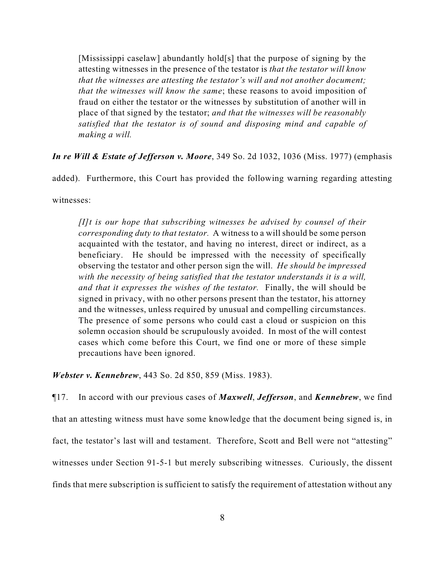[Mississippi caselaw] abundantly hold[s] that the purpose of signing by the attesting witnesses in the presence of the testator is *that the testator will know that the witnesses are attesting the testator's will and not another document; that the witnesses will know the same*; these reasons to avoid imposition of fraud on either the testator or the witnesses by substitution of another will in place of that signed by the testator; *and that the witnesses will be reasonably satisfied that the testator is of sound and disposing mind and capable of making a will.*

*In re Will & Estate of Jefferson v. Moore*, 349 So. 2d 1032, 1036 (Miss. 1977) (emphasis

added). Furthermore, this Court has provided the following warning regarding attesting

witnesses:

*[I]t is our hope that subscribing witnesses be advised by counsel of their corresponding duty to that testator.* A witness to a will should be some person acquainted with the testator, and having no interest, direct or indirect, as a beneficiary. He should be impressed with the necessity of specifically observing the testator and other person sign the will. *He should be impressed with the necessity of being satisfied that the testator understands it is a will, and that it expresses the wishes of the testator.* Finally, the will should be signed in privacy, with no other persons present than the testator, his attorney and the witnesses, unless required by unusual and compelling circumstances. The presence of some persons who could cast a cloud or suspicion on this solemn occasion should be scrupulously avoided. In most of the will contest cases which come before this Court, we find one or more of these simple precautions have been ignored.

*Webster v. Kennebrew*, 443 So. 2d 850, 859 (Miss. 1983).

¶17. In accord with our previous cases of *Maxwell*, *Jefferson*, and *Kennebrew*, we find that an attesting witness must have some knowledge that the document being signed is, in fact, the testator's last will and testament. Therefore, Scott and Bell were not "attesting" witnesses under Section 91-5-1 but merely subscribing witnesses. Curiously, the dissent finds that mere subscription is sufficient to satisfy the requirement of attestation without any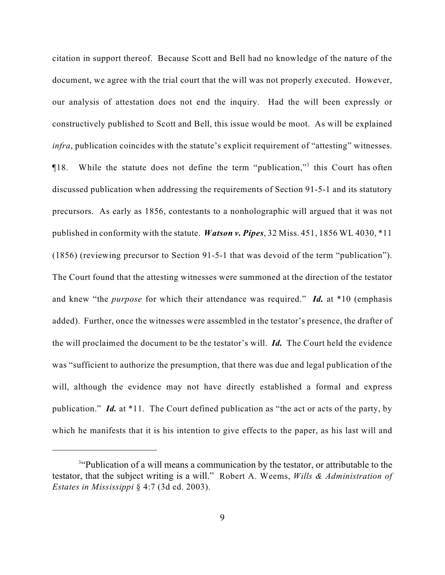citation in support thereof. Because Scott and Bell had no knowledge of the nature of the document, we agree with the trial court that the will was not properly executed. However, our analysis of attestation does not end the inquiry. Had the will been expressly or constructively published to Scott and Bell, this issue would be moot. As will be explained *infra*, publication coincides with the statute's explicit requirement of "attesting" witnesses.  $\P$ 18. While the statute does not define the term "publication,"<sup>3</sup> this Court has often discussed publication when addressing the requirements of Section 91-5-1 and its statutory precursors. As early as 1856, contestants to a nonholographic will argued that it was not published in conformity with the statute. *Watson v. Pipes*, 32 Miss. 451, 1856 WL 4030, \*11 (1856) (reviewing precursor to Section 91-5-1 that was devoid of the term "publication"). The Court found that the attesting witnesses were summoned at the direction of the testator and knew "the *purpose* for which their attendance was required." *Id.* at \*10 (emphasis added). Further, once the witnesses were assembled in the testator's presence, the drafter of the will proclaimed the document to be the testator's will. *Id.* The Court held the evidence was "sufficient to authorize the presumption, that there was due and legal publication of the will, although the evidence may not have directly established a formal and express publication." *Id.* at \*11. The Court defined publication as "the act or acts of the party, by which he manifests that it is his intention to give effects to the paper, as his last will and

<sup>&</sup>lt;sup>3"</sup>Publication of a will means a communication by the testator, or attributable to the testator, that the subject writing is a will." Robert A. Weems, *Wills & Administration of Estates in Mississippi* § 4:7 (3d ed. 2003).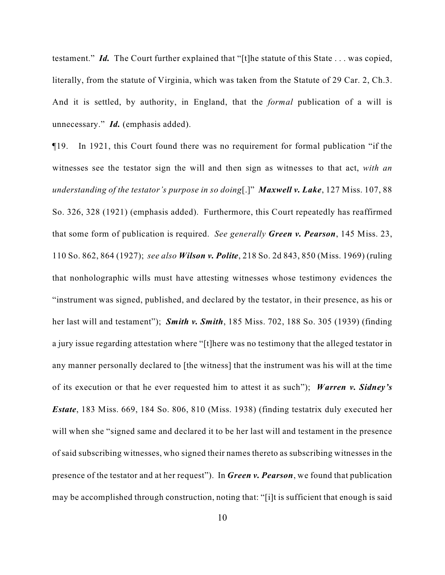testament." *Id.* The Court further explained that "[t]he statute of this State . . . was copied, literally, from the statute of Virginia, which was taken from the Statute of 29 Car. 2, Ch.3. And it is settled, by authority, in England, that the *formal* publication of a will is unnecessary." *Id.* (emphasis added).

¶19. In 1921, this Court found there was no requirement for formal publication "if the witnesses see the testator sign the will and then sign as witnesses to that act, *with an understanding of the testator's purpose in so doing*[.]" *Maxwell v. Lake*, 127 Miss. 107, 88 So. 326, 328 (1921) (emphasis added). Furthermore, this Court repeatedly has reaffirmed that some form of publication is required. *See generally Green v. Pearson*, 145 Miss. 23, 110 So. 862, 864 (1927); *see also Wilson v. Polite*, 218 So. 2d 843, 850 (Miss. 1969) (ruling that nonholographic wills must have attesting witnesses whose testimony evidences the "instrument was signed, published, and declared by the testator, in their presence, as his or her last will and testament"); *Smith v. Smith*, 185 Miss. 702, 188 So. 305 (1939) (finding a jury issue regarding attestation where "[t]here was no testimony that the alleged testator in any manner personally declared to [the witness] that the instrument was his will at the time of its execution or that he ever requested him to attest it as such"); *Warren v. Sidney's Estate*, 183 Miss. 669, 184 So. 806, 810 (Miss. 1938) (finding testatrix duly executed her will when she "signed same and declared it to be her last will and testament in the presence of said subscribing witnesses, who signed their names thereto as subscribing witnesses in the presence of the testator and at her request"). In *Green v. Pearson*, we found that publication may be accomplished through construction, noting that: "[i]t is sufficient that enough is said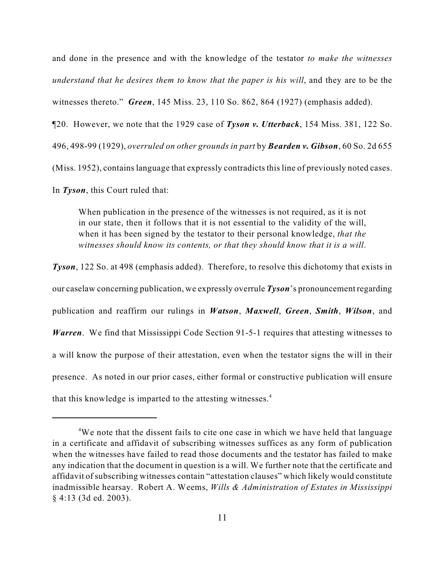and done in the presence and with the knowledge of the testator *to make the witnesses understand that he desires them to know that the paper is his will*, and they are to be the witnesses thereto." *Green*, 145 Miss. 23, 110 So. 862, 864 (1927) (emphasis added). ¶20. However, we note that the 1929 case of *Tyson v. Utterback*, 154 Miss. 381, 122 So. 496, 498-99 (1929), *overruled on other grounds in part* by *Bearden v. Gibson*, 60 So. 2d 655 (Miss. 1952), contains language that expressly contradicts this line of previously noted cases. In *Tyson*, this Court ruled that:

When publication in the presence of the witnesses is not required, as it is not in our state, then it follows that it is not essential to the validity of the will, when it has been signed by the testator to their personal knowledge, *that the witnesses should know its contents, or that they should know that it is a will*.

*Tyson*, 122 So. at 498 (emphasis added). Therefore, to resolve this dichotomy that exists in our caselaw concerning publication, we expressly overrule *Tyson*'s pronouncement regarding publication and reaffirm our rulings in *Watson*, *Maxwell*, *Green*, *Smith*, *Wilson*, and *Warren*. We find that Mississippi Code Section 91-5-1 requires that attesting witnesses to a will know the purpose of their attestation, even when the testator signs the will in their presence. As noted in our prior cases, either formal or constructive publication will ensure that this knowledge is imparted to the attesting witnesses.<sup>4</sup>

 $4W$ e note that the dissent fails to cite one case in which we have held that language in a certificate and affidavit of subscribing witnesses suffices as any form of publication when the witnesses have failed to read those documents and the testator has failed to make any indication that the document in question is a will. We further note that the certificate and affidavit of subscribing witnesses contain "attestation clauses" which likely would constitute inadmissible hearsay. Robert A. Weems, *Wills & Administration of Estates in Mississippi* § 4:13 (3d ed. 2003).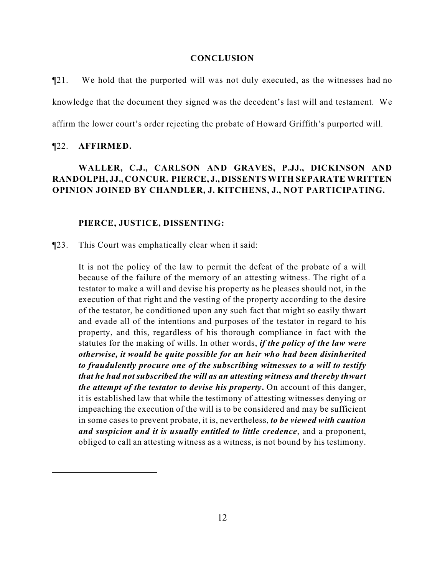#### **CONCLUSION**

 $\P$ 21. We hold that the purported will was not duly executed, as the witnesses had no knowledge that the document they signed was the decedent's last will and testament. We affirm the lower court's order rejecting the probate of Howard Griffith's purported will.

#### ¶22. **AFFIRMED.**

## **WALLER, C.J., CARLSON AND GRAVES, P.JJ., DICKINSON AND RANDOLPH, JJ., CONCUR. PIERCE, J., DISSENTS WITH SEPARATE WRITTEN OPINION JOINED BY CHANDLER, J. KITCHENS, J., NOT PARTICIPATING.**

#### **PIERCE, JUSTICE, DISSENTING:**

¶23. This Court was emphatically clear when it said:

It is not the policy of the law to permit the defeat of the probate of a will because of the failure of the memory of an attesting witness. The right of a testator to make a will and devise his property as he pleases should not, in the execution of that right and the vesting of the property according to the desire of the testator, be conditioned upon any such fact that might so easily thwart and evade all of the intentions and purposes of the testator in regard to his property, and this, regardless of his thorough compliance in fact with the statutes for the making of wills. In other words, *if the policy of the law were otherwise, it would be quite possible for an heir who had been disinherited to fraudulently procure one of the subscribing witnesses to a will to testify that he had not subscribed the will as an attesting witness and thereby thwart the attempt of the testator to devise his property***.** On account of this danger, it is established law that while the testimony of attesting witnesses denying or impeaching the execution of the will is to be considered and may be sufficient in some cases to prevent probate, it is, nevertheless, *to be viewed with caution and suspicion and it is usually entitled to little credence*, and a proponent, obliged to call an attesting witness as a witness, is not bound by his testimony.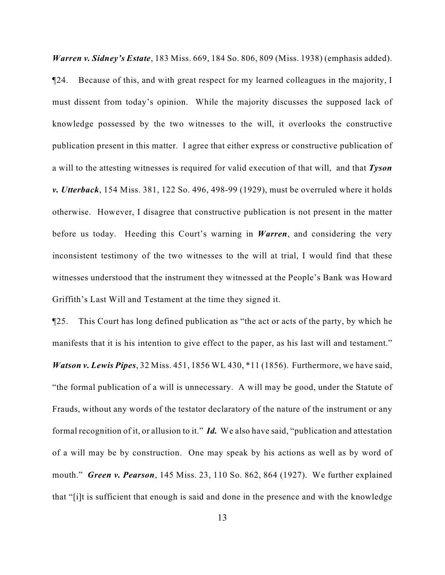*Warren v. Sidney's Estate*, 183 Miss. 669, 184 So. 806, 809 (Miss. 1938) (emphasis added).

¶24. Because of this, and with great respect for my learned colleagues in the majority, I must dissent from today's opinion. While the majority discusses the supposed lack of knowledge possessed by the two witnesses to the will, it overlooks the constructive publication present in this matter. I agree that either express or constructive publication of a will to the attesting witnesses is required for valid execution of that will, and that *Tyson v. Utterback*, 154 Miss. 381, 122 So. 496, 498-99 (1929), must be overruled where it holds otherwise. However, I disagree that constructive publication is not present in the matter before us today. Heeding this Court's warning in *Warren*, and considering the very inconsistent testimony of the two witnesses to the will at trial, I would find that these witnesses understood that the instrument they witnessed at the People's Bank was Howard Griffith's Last Will and Testament at the time they signed it.

¶25. This Court has long defined publication as "the act or acts of the party, by which he manifests that it is his intention to give effect to the paper, as his last will and testament." *Watson v. Lewis Pipes*, 32 Miss. 451, 1856 WL 430, \*11 (1856). Furthermore, we have said, "the formal publication of a will is unnecessary. A will may be good, under the Statute of Frauds, without any words of the testator declaratory of the nature of the instrument or any formal recognition of it, or allusion to it." *Id.* We also have said, "publication and attestation of a will may be by construction. One may speak by his actions as well as by word of mouth." *Green v. Pearson*, 145 Miss. 23, 110 So. 862, 864 (1927). We further explained that "[i]t is sufficient that enough is said and done in the presence and with the knowledge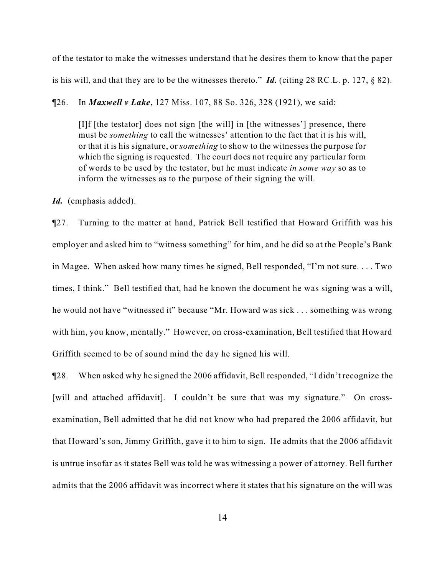of the testator to make the witnesses understand that he desires them to know that the paper is his will, and that they are to be the witnesses thereto."  $\vec{I}d$ . (citing 28 RC.L. p. 127, § 82).

¶26. In *Maxwell v Lake*, 127 Miss. 107, 88 So. 326, 328 (1921), we said:

[I]f [the testator] does not sign [the will] in [the witnesses'] presence, there must be *something* to call the witnesses' attention to the fact that it is his will, or that it is his signature, or *something* to show to the witnesses the purpose for which the signing is requested. The court does not require any particular form of words to be used by the testator, but he must indicate *in some way* so as to inform the witnesses as to the purpose of their signing the will.

*Id.* (emphasis added).

¶27. Turning to the matter at hand, Patrick Bell testified that Howard Griffith was his employer and asked him to "witness something" for him, and he did so at the People's Bank in Magee. When asked how many times he signed, Bell responded, "I'm not sure. . . . Two times, I think." Bell testified that, had he known the document he was signing was a will, he would not have "witnessed it" because "Mr. Howard was sick . . . something was wrong with him, you know, mentally." However, on cross-examination, Bell testified that Howard Griffith seemed to be of sound mind the day he signed his will.

¶28. When asked why he signed the 2006 affidavit, Bell responded, "I didn't recognize the [will and attached affidavit]. I couldn't be sure that was my signature." On crossexamination, Bell admitted that he did not know who had prepared the 2006 affidavit, but that Howard's son, Jimmy Griffith, gave it to him to sign. He admits that the 2006 affidavit is untrue insofar as it states Bell was told he was witnessing a power of attorney. Bell further admits that the 2006 affidavit was incorrect where it states that his signature on the will was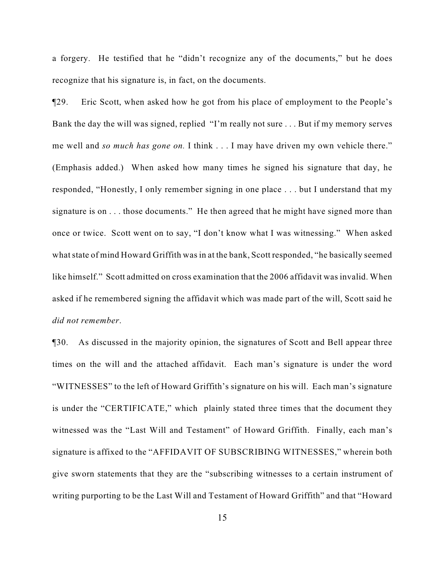a forgery. He testified that he "didn't recognize any of the documents," but he does recognize that his signature is, in fact, on the documents.

¶29. Eric Scott, when asked how he got from his place of employment to the People's Bank the day the will was signed, replied "I'm really not sure . . . But if my memory serves me well and *so much has gone on.* I think . . . I may have driven my own vehicle there." (Emphasis added.) When asked how many times he signed his signature that day, he responded, "Honestly, I only remember signing in one place . . . but I understand that my signature is on . . . those documents." He then agreed that he might have signed more than once or twice. Scott went on to say, "I don't know what I was witnessing." When asked what state of mind Howard Griffith was in at the bank, Scott responded, "he basically seemed like himself." Scott admitted on cross examination that the 2006 affidavit was invalid. When asked if he remembered signing the affidavit which was made part of the will, Scott said he *did not remember*.

¶30. As discussed in the majority opinion, the signatures of Scott and Bell appear three times on the will and the attached affidavit. Each man's signature is under the word "WITNESSES" to the left of Howard Griffith's signature on his will. Each man's signature is under the "CERTIFICATE," which plainly stated three times that the document they witnessed was the "Last Will and Testament" of Howard Griffith. Finally, each man's signature is affixed to the "AFFIDAVIT OF SUBSCRIBING WITNESSES," wherein both give sworn statements that they are the "subscribing witnesses to a certain instrument of writing purporting to be the Last Will and Testament of Howard Griffith" and that "Howard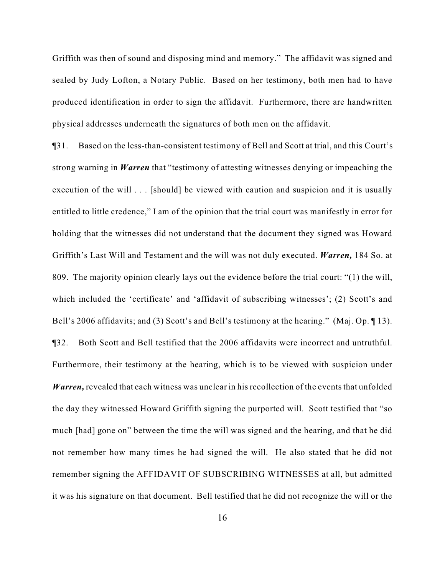Griffith was then of sound and disposing mind and memory." The affidavit was signed and sealed by Judy Lofton, a Notary Public. Based on her testimony, both men had to have produced identification in order to sign the affidavit. Furthermore, there are handwritten physical addresses underneath the signatures of both men on the affidavit.

¶31. Based on the less-than-consistent testimony of Bell and Scott at trial, and this Court's strong warning in *Warren* that "testimony of attesting witnesses denying or impeaching the execution of the will . . . [should] be viewed with caution and suspicion and it is usually entitled to little credence," I am of the opinion that the trial court was manifestly in error for holding that the witnesses did not understand that the document they signed was Howard Griffith's Last Will and Testament and the will was not duly executed. *Warren,* 184 So. at 809. The majority opinion clearly lays out the evidence before the trial court: "(1) the will, which included the 'certificate' and 'affidavit of subscribing witnesses'; (2) Scott's and Bell's 2006 affidavits; and (3) Scott's and Bell's testimony at the hearing." (Maj. Op. 13). ¶32. Both Scott and Bell testified that the 2006 affidavits were incorrect and untruthful. Furthermore, their testimony at the hearing, which is to be viewed with suspicion under *Warren,* revealed that each witness was unclear in his recollection of the events that unfolded the day they witnessed Howard Griffith signing the purported will. Scott testified that "so much [had] gone on" between the time the will was signed and the hearing, and that he did not remember how many times he had signed the will. He also stated that he did not remember signing the AFFIDAVIT OF SUBSCRIBING WITNESSES at all, but admitted it was his signature on that document. Bell testified that he did not recognize the will or the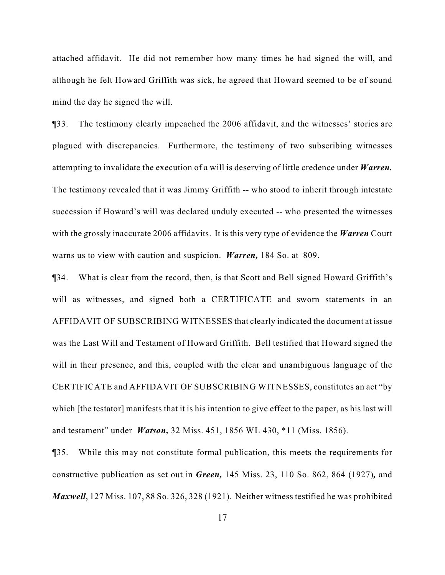attached affidavit. He did not remember how many times he had signed the will, and although he felt Howard Griffith was sick, he agreed that Howard seemed to be of sound mind the day he signed the will.

¶33. The testimony clearly impeached the 2006 affidavit, and the witnesses' stories are plagued with discrepancies. Furthermore, the testimony of two subscribing witnesses attempting to invalidate the execution of a will is deserving of little credence under *Warren.* The testimony revealed that it was Jimmy Griffith -- who stood to inherit through intestate succession if Howard's will was declared unduly executed -- who presented the witnesses with the grossly inaccurate 2006 affidavits. It is this very type of evidence the *Warren* Court warns us to view with caution and suspicion. *Warren,* 184 So. at 809.

¶34. What is clear from the record, then, is that Scott and Bell signed Howard Griffith's will as witnesses, and signed both a CERTIFICATE and sworn statements in an AFFIDAVIT OF SUBSCRIBING WITNESSES that clearly indicated the document at issue was the Last Will and Testament of Howard Griffith. Bell testified that Howard signed the will in their presence, and this, coupled with the clear and unambiguous language of the CERTIFICATE and AFFIDAVIT OF SUBSCRIBING WITNESSES, constitutes an act "by which [the testator] manifests that it is his intention to give effect to the paper, as his last will and testament" under *Watson,* 32 Miss. 451, 1856 WL 430, \*11 (Miss. 1856).

¶35. While this may not constitute formal publication, this meets the requirements for constructive publication as set out in *Green,* 145 Miss. 23, 110 So. 862, 864 (1927)*,* and *Maxwell*, 127 Miss. 107, 88 So. 326, 328 (1921). Neither witness testified he was prohibited